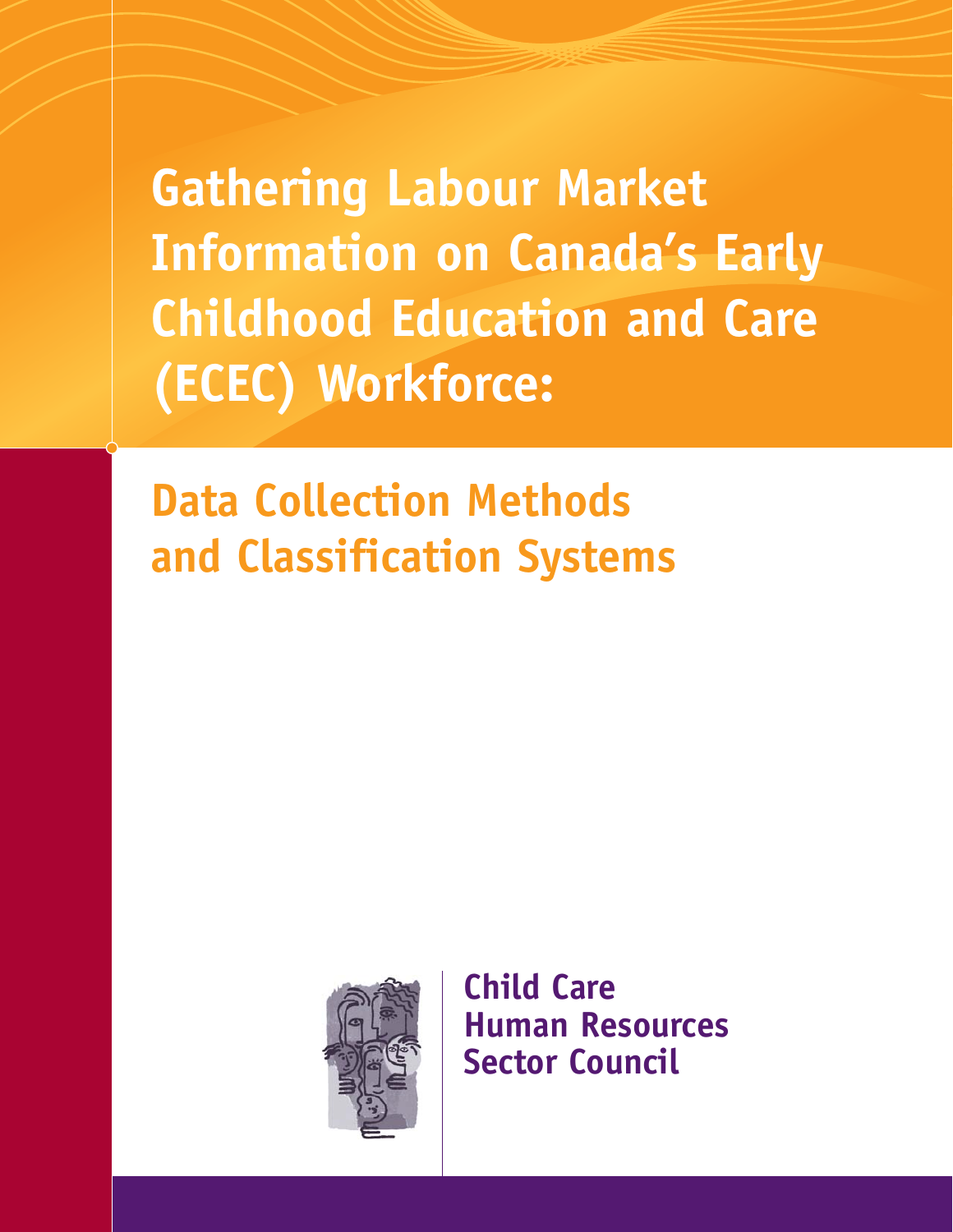**Gathering Labour Market Information on Canada's Early Childhood Education and Care (ECEC) Workforce:**

**Data Collection Methods and Classification Systems**



**Child Care Human Resources Sector Council**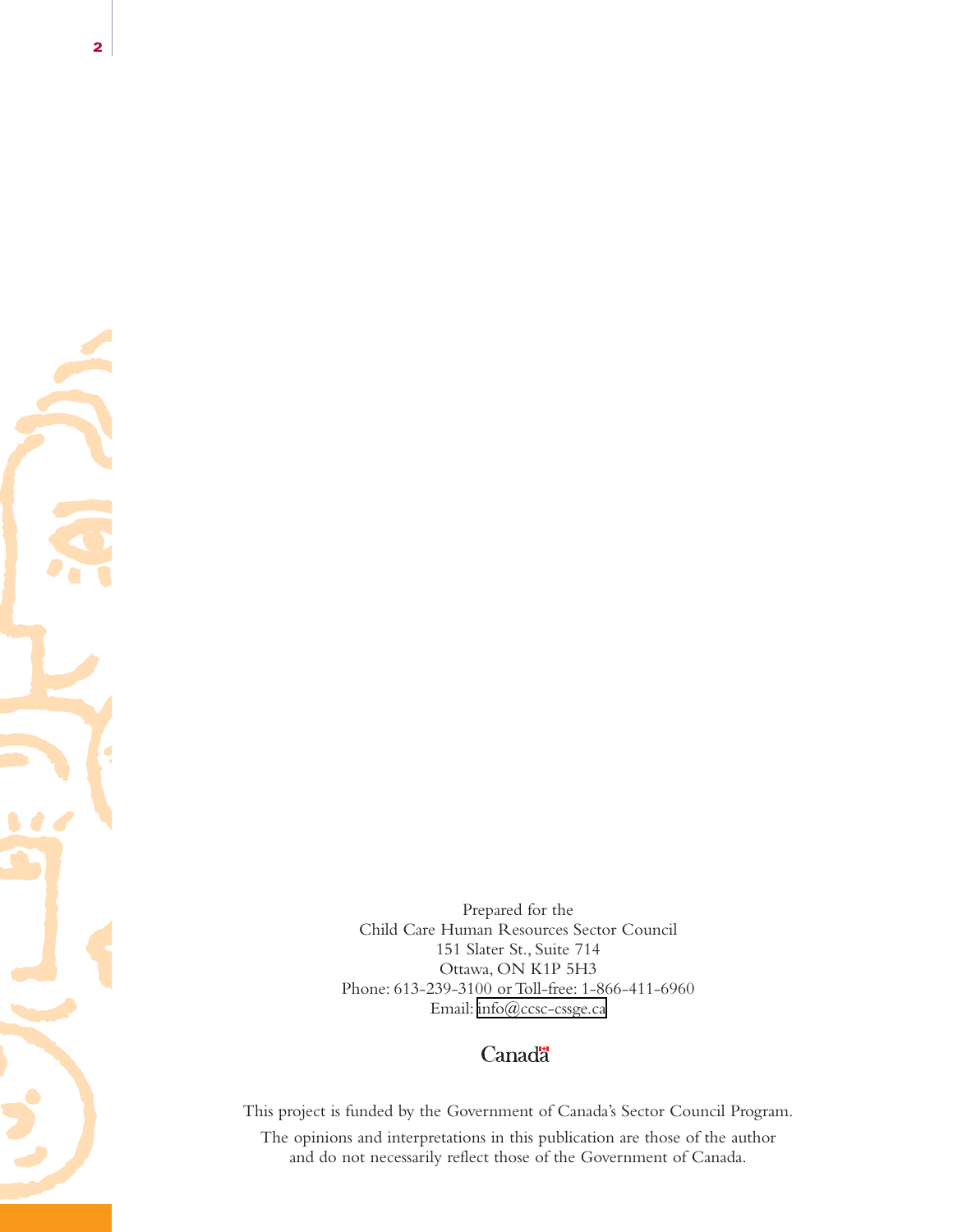Prepared for the Child Care Human Resources Sector Council 151 Slater St., Suite 714 Ottawa, ON K1P 5H3 Phone: 613-239-3100 or Toll-free: 1-866-411-6960 Email: [info@ccsc-cssge.ca](mailto:info@ccsc-cssge.ca)

## Canadä

This project is funded by the Government of Canada's Sector Council Program. The opinions and interpretations in this publication are those of the author and do not necessarily reflect those of the Government of Canada.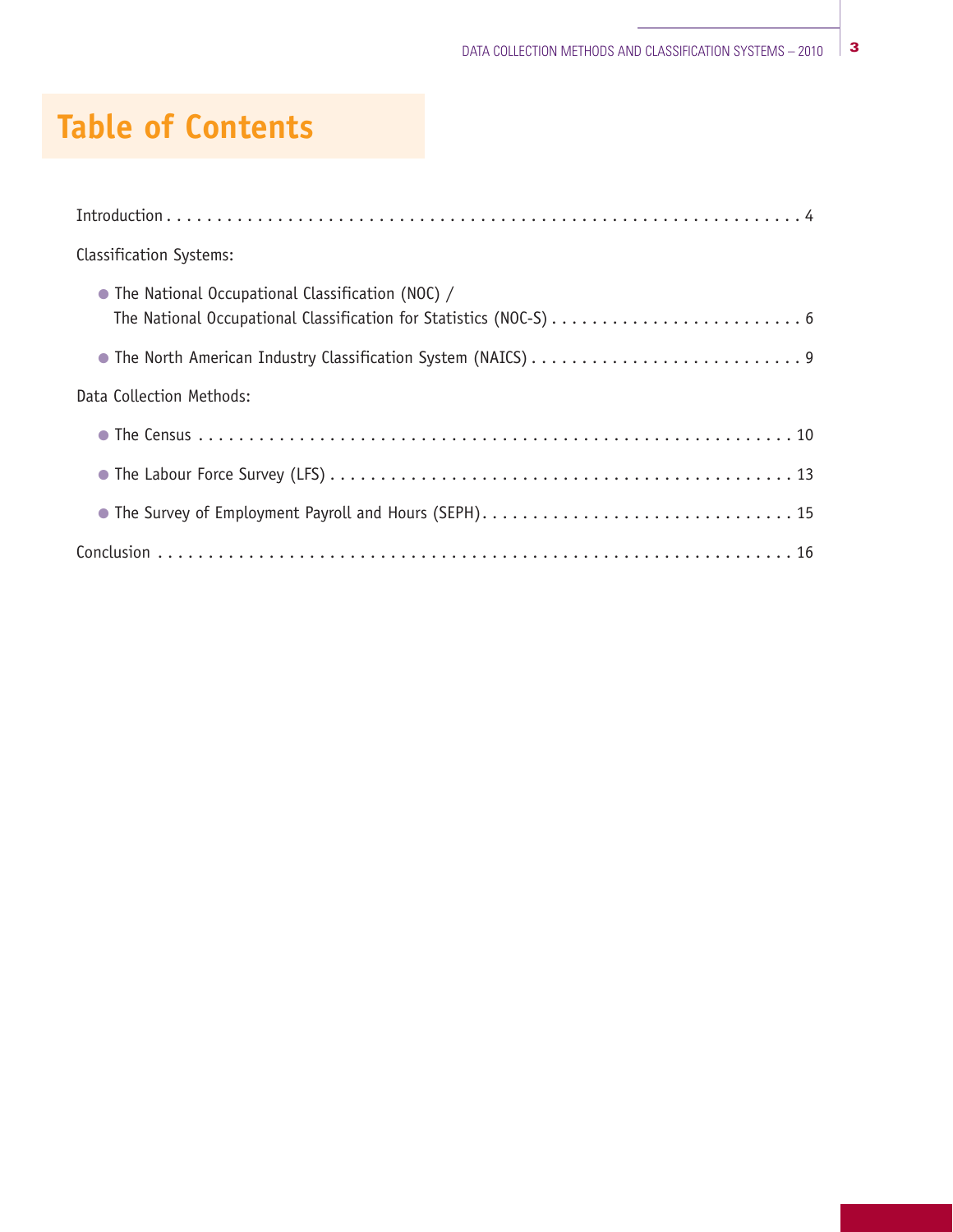# **Table of Contents**

| <b>Classification Systems:</b>                                                                                           |
|--------------------------------------------------------------------------------------------------------------------------|
| • The National Occupational Classification (NOC) /<br>The National Occupational Classification for Statistics (NOC-S)  6 |
|                                                                                                                          |
| Data Collection Methods:                                                                                                 |
|                                                                                                                          |
|                                                                                                                          |
|                                                                                                                          |
|                                                                                                                          |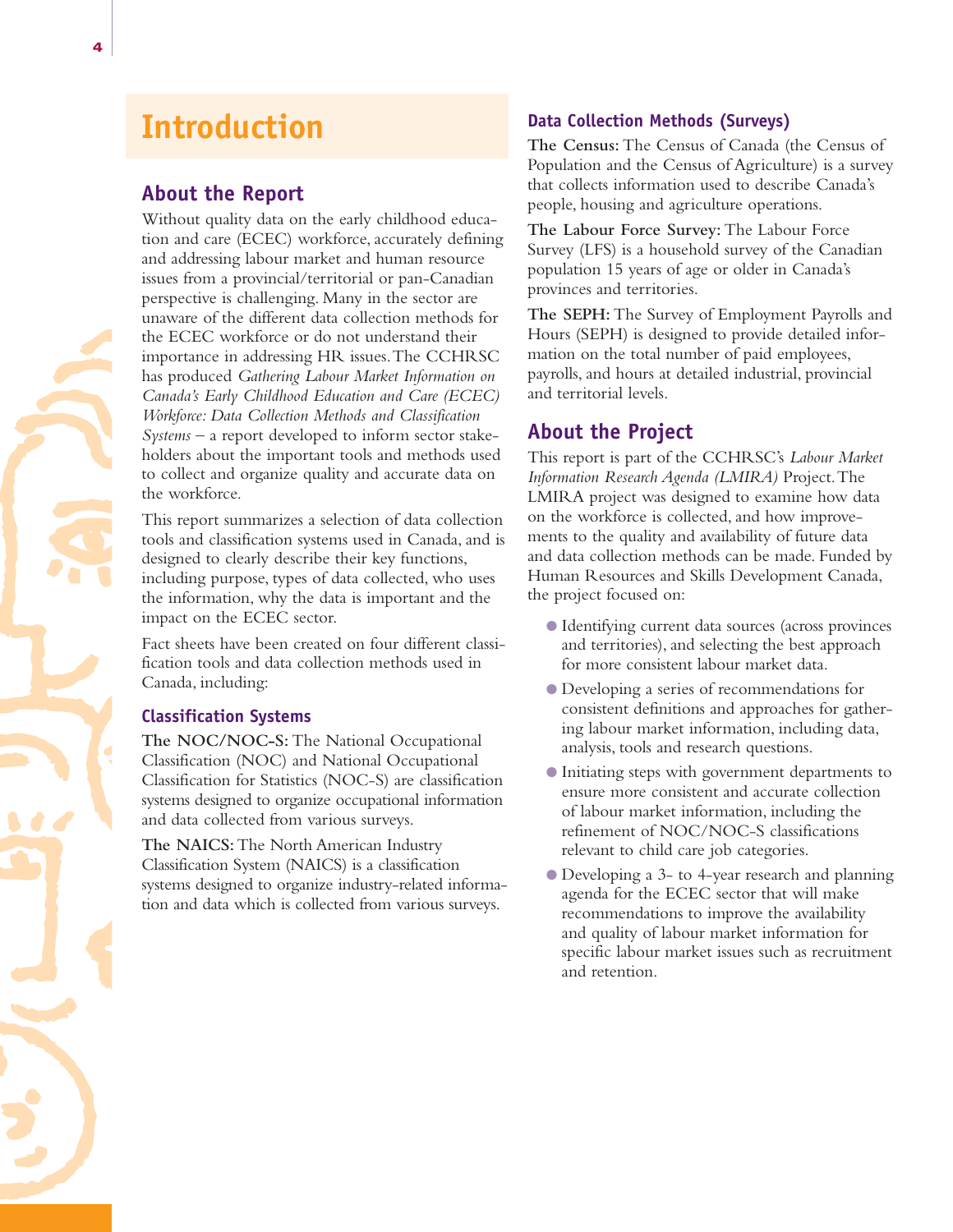# **Introduction**

## **About the Report**

Without quality data on the early childhood education and care (ECEC) workforce, accurately defining and addressing labour market and human resource issues from a provincial/territorial or pan-Canadian perspective is challenging. Many in the sector are unaware of the different data collection methods for the ECEC workforce or do not understand their importance in addressing HR issues.The CCHRSC has produced *Gathering Labour Market Information on Canada's Early Childhood Education and Care (ECEC) Workforce: Data Collection Methods and Classification Systems* – a report developed to inform sector stakeholders about the important tools and methods used to collect and organize quality and accurate data on the workforce.

This report summarizes a selection of data collection tools and classification systems used in Canada, and is designed to clearly describe their key functions, including purpose, types of data collected, who uses the information, why the data is important and the impact on the ECEC sector.

Fact sheets have been created on four different classification tools and data collection methods used in Canada, including:

#### **Classification Systems**

**The NOC/NOC-S:** The National Occupational Classification (NOC) and National Occupational Classification for Statistics (NOC-S) are classification systems designed to organize occupational information and data collected from various surveys.

**The NAICS:**The North American Industry Classification System (NAICS) is a classification systems designed to organize industry-related information and data which is collected from various surveys.

#### **Data Collection Methods (Surveys)**

**The Census:** The Census of Canada (the Census of Population and the Census of Agriculture) is a survey that collects information used to describe Canada's people, housing and agriculture operations.

**The Labour Force Survey:** The Labour Force Survey (LFS) is a household survey of the Canadian population 15 years of age or older in Canada's provinces and territories.

**The SEPH:** The Survey of Employment Payrolls and Hours (SEPH) is designed to provide detailed information on the total number of paid employees, payrolls, and hours at detailed industrial, provincial and territorial levels.

## **About the Project**

This report is part of the CCHRSC's *Labour Market Information Research Agenda (LMIRA)* Project.The LMIRA project was designed to examine how data on the workforce is collected, and how improvements to the quality and availability of future data and data collection methods can be made. Funded by Human Resources and Skills Development Canada, the project focused on:

- O Identifying current data sources (across provinces and territories), and selecting the best approach for more consistent labour market data.
- O Developing a series of recommendations for consistent definitions and approaches for gathering labour market information, including data, analysis, tools and research questions.
- O Initiating steps with government departments to ensure more consistent and accurate collection of labour market information, including the refinement of NOC/NOC-S classifications relevant to child care job categories.
- O Developing a 3- to 4-year research and planning agenda for the ECEC sector that will make recommendations to improve the availability and quality of labour market information for specific labour market issues such as recruitment and retention.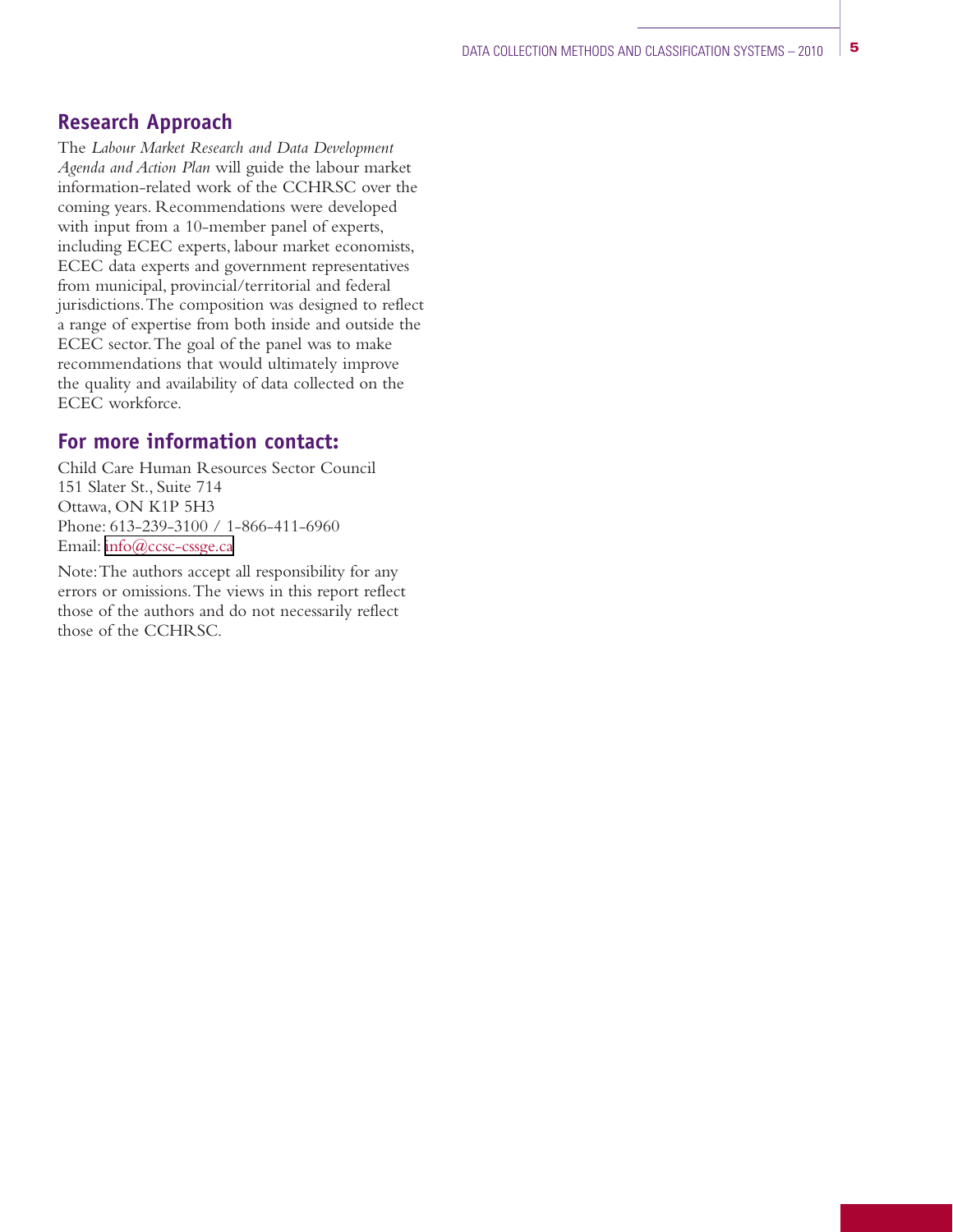## **Research Approach**

The *Labour Market Research and Data Development Agenda and Action Plan* will guide the labour market information-related work of the CCHRSC over the coming years. Recommendations were developed with input from a 10-member panel of experts, including ECEC experts, labour market economists, ECEC data experts and government representatives from municipal, provincial/territorial and federal jurisdictions.The composition was designed to reflect a range of expertise from both inside and outside the ECEC sector.The goal of the panel was to make recommendations that would ultimately improve the quality and availability of data collected on the ECEC workforce.

#### **For more information contact:**

Child Care Human Resources Sector Council 151 Slater St., Suite 714 Ottawa, ON K1P 5H3 Phone: 613-239-3100 / 1-866-411-6960 Email: [info@ccsc-cssge.ca](mailto:info@ccsc-cssge.ca)

Note:The authors accept all responsibility for any errors or omissions.The views in this report reflect those of the authors and do not necessarily reflect those of the CCHRSC.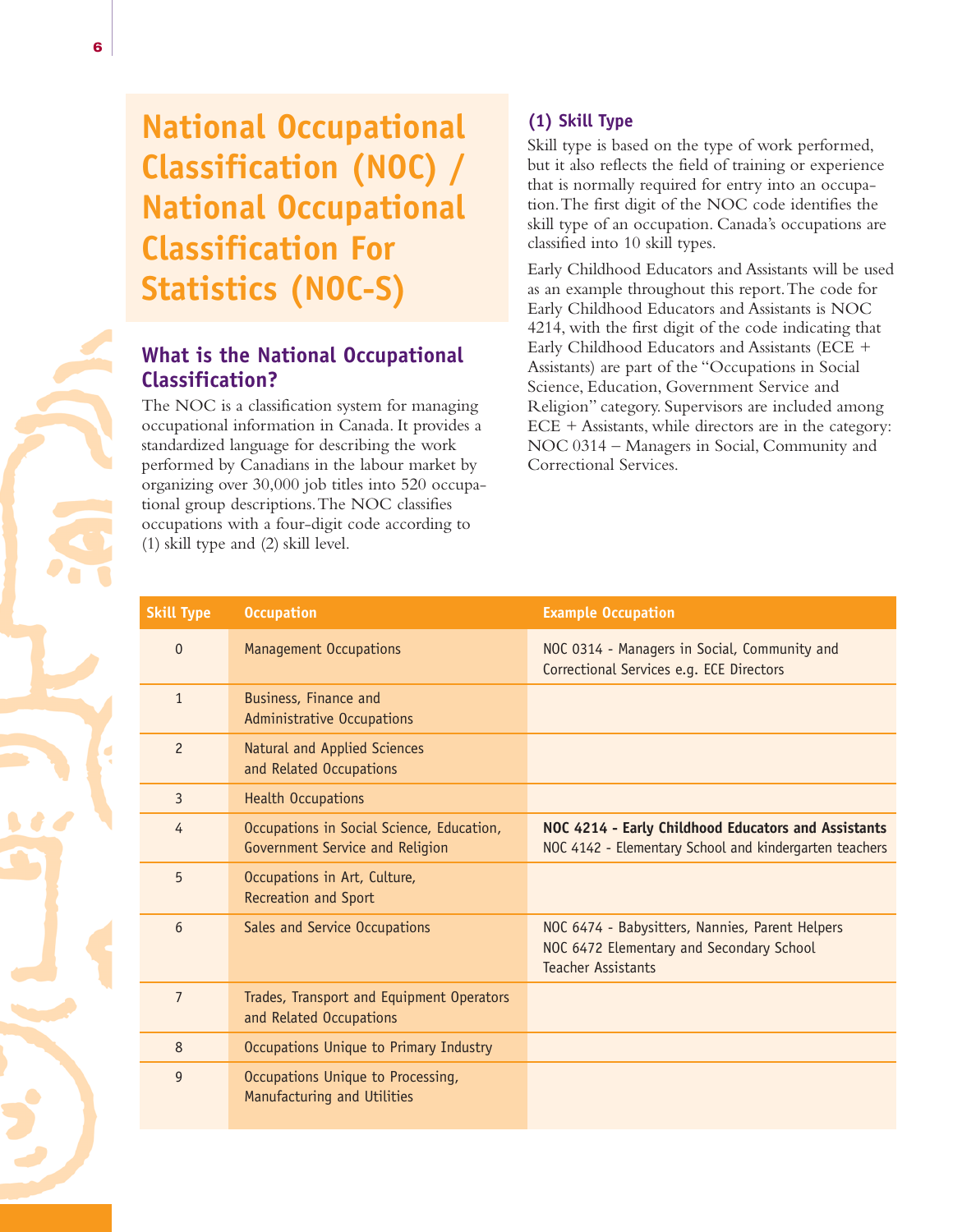# **National Occupational Classification (NOC) / National Occupational Classification For Statistics (NOC-S)**

# **What is the National Occupational Classification?**

The NOC is a classification system for managing occupational information in Canada. It provides a standardized language for describing the work performed by Canadians in the labour market by organizing over 30,000 job titles into 520 occupational group descriptions.The NOC classifies occupations with a four-digit code according to (1) skill type and (2) skill level.

### **(1) Skill Type**

Skill type is based on the type of work performed, but it also reflects the field of training or experience that is normally required for entry into an occupation.The first digit of the NOC code identifies the skill type of an occupation. Canada's occupations are classified into 10 skill types.

Early Childhood Educators and Assistants will be used as an example throughout this report.The code for Early Childhood Educators and Assistants is NOC 4214, with the first digit of the code indicating that Early Childhood Educators and Assistants (ECE + Assistants) are part of the "Occupations in Social Science, Education, Government Service and Religion" category. Supervisors are included among ECE + Assistants, while directors are in the category: NOC 0314 – Managers in Social, Community and Correctional Services.

| <b>Skill Type</b> | <b>Occupation</b>                                                            | <b>Example Occupation</b>                                                                                                |
|-------------------|------------------------------------------------------------------------------|--------------------------------------------------------------------------------------------------------------------------|
| $\Omega$          | <b>Management Occupations</b>                                                | NOC 0314 - Managers in Social, Community and<br>Correctional Services e.g. ECE Directors                                 |
| $\mathbf{1}$      | Business, Finance and<br>Administrative Occupations                          |                                                                                                                          |
| $\overline{c}$    | Natural and Applied Sciences<br>and Related Occupations                      |                                                                                                                          |
| $\overline{3}$    | <b>Health Occupations</b>                                                    |                                                                                                                          |
| 4                 | Occupations in Social Science, Education,<br>Government Service and Religion | NOC 4214 - Early Childhood Educators and Assistants<br>NOC 4142 - Elementary School and kindergarten teachers            |
| 5                 | Occupations in Art, Culture,<br>Recreation and Sport                         |                                                                                                                          |
| 6                 | Sales and Service Occupations                                                | NOC 6474 - Babysitters, Nannies, Parent Helpers<br>NOC 6472 Elementary and Secondary School<br><b>Teacher Assistants</b> |
| $\overline{7}$    | Trades, Transport and Equipment Operators<br>and Related Occupations         |                                                                                                                          |
| 8                 | Occupations Unique to Primary Industry                                       |                                                                                                                          |
| $\overline{9}$    | Occupations Unique to Processing,<br>Manufacturing and Utilities             |                                                                                                                          |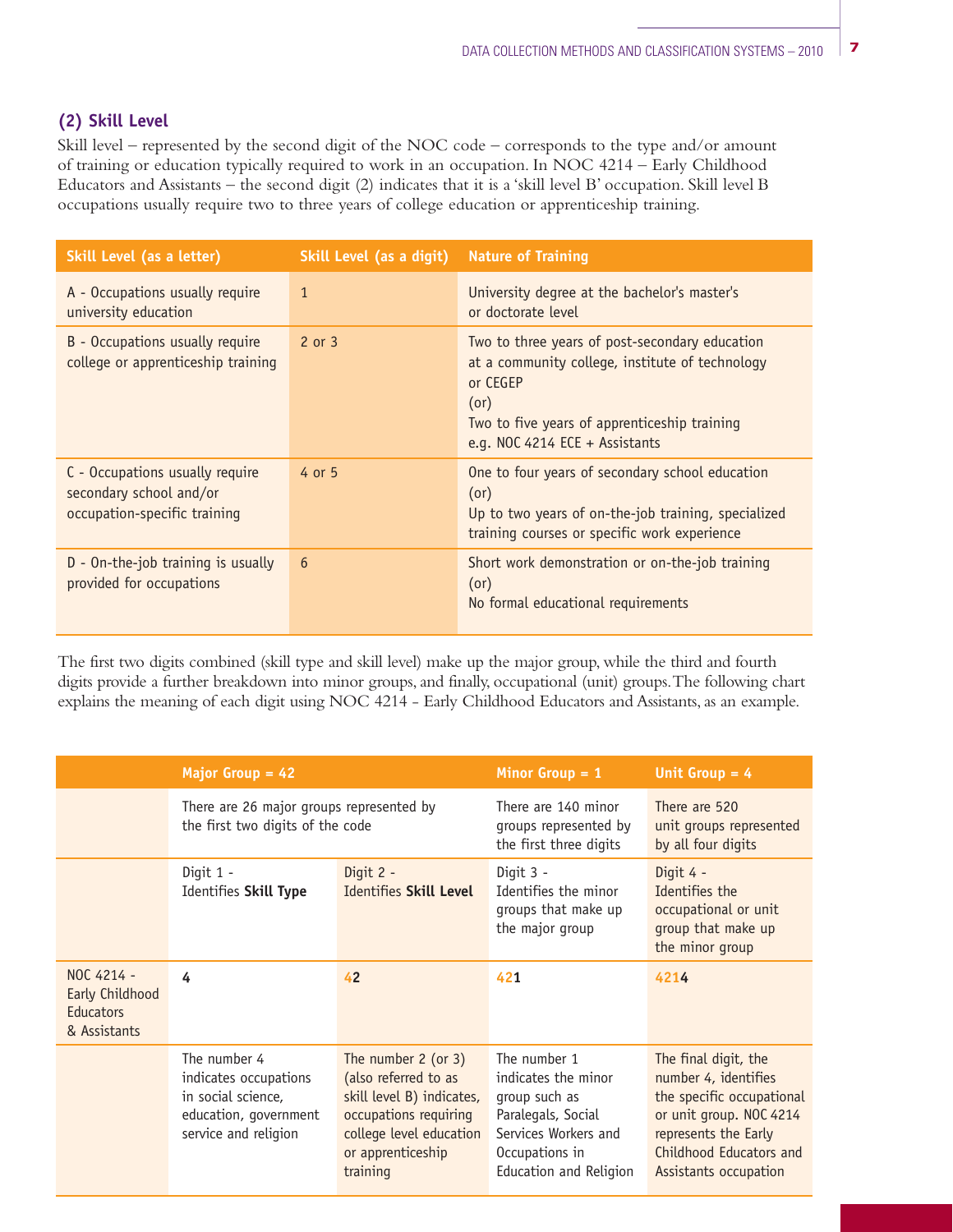#### **(2) Skill Level**

Skill level – represented by the second digit of the NOC code – corresponds to the type and/or amount of training or education typically required to work in an occupation. In NOC 4214 – Early Childhood Educators and Assistants – the second digit (2) indicates that it is a 'skill level B' occupation. Skill level B occupations usually require two to three years of college education or apprenticeship training.

| Skill Level (as a letter)                                                                  | Skill Level (as a digit) | <b>Nature of Training</b>                                                                                                                                                                               |  |
|--------------------------------------------------------------------------------------------|--------------------------|---------------------------------------------------------------------------------------------------------------------------------------------------------------------------------------------------------|--|
| A - Occupations usually require<br>university education                                    | $\mathbf{1}$             | University degree at the bachelor's master's<br>or doctorate level                                                                                                                                      |  |
| B - Occupations usually require<br>college or apprenticeship training                      | 2 or 3                   | Two to three years of post-secondary education<br>at a community college, institute of technology<br>or CEGEP<br>(or)<br>Two to five years of apprenticeship training<br>e.g. NOC 4214 ECE + Assistants |  |
| C - Occupations usually require<br>secondary school and/or<br>occupation-specific training | 4 or 5                   | One to four years of secondary school education<br>(or)<br>Up to two years of on-the-job training, specialized<br>training courses or specific work experience                                          |  |
| D - On-the-job training is usually<br>provided for occupations                             | 6                        | Short work demonstration or on-the-job training<br>(or)<br>No formal educational requirements                                                                                                           |  |

The first two digits combined (skill type and skill level) make up the major group, while the third and fourth digits provide a further breakdown into minor groups, and finally, occupational (unit) groups.The following chart explains the meaning of each digit using NOC 4214 - Early Childhood Educators and Assistants, as an example.

|                                                                   | Major Group $= 42$                                                                                           |                                                                                                                                                                    | Minor Group $= 1$                                                                                                                              | Unit Group $= 4$                                                                                                                                                                 |
|-------------------------------------------------------------------|--------------------------------------------------------------------------------------------------------------|--------------------------------------------------------------------------------------------------------------------------------------------------------------------|------------------------------------------------------------------------------------------------------------------------------------------------|----------------------------------------------------------------------------------------------------------------------------------------------------------------------------------|
|                                                                   | There are 26 major groups represented by<br>the first two digits of the code                                 |                                                                                                                                                                    | There are 140 minor<br>groups represented by<br>the first three digits                                                                         | There are 520<br>unit groups represented<br>by all four digits                                                                                                                   |
|                                                                   | Digit 1 -<br>Identifies Skill Type                                                                           | Digit 2 -<br>Identifies Skill Level                                                                                                                                | Digit 3 -<br>Identifies the minor<br>groups that make up<br>the major group                                                                    | Digit 4 -<br>Identifies the<br>occupational or unit<br>group that make up<br>the minor group                                                                                     |
| NOC 4214 -<br>Early Childhood<br><b>Educators</b><br>& Assistants | 4                                                                                                            | 42                                                                                                                                                                 | 421                                                                                                                                            | 4214                                                                                                                                                                             |
|                                                                   | The number 4<br>indicates occupations<br>in social science,<br>education, government<br>service and religion | The number $2$ (or $3$ )<br>(also referred to as<br>skill level B) indicates,<br>occupations requiring<br>college level education<br>or apprenticeship<br>training | The number 1<br>indicates the minor<br>group such as<br>Paralegals, Social<br>Services Workers and<br>Occupations in<br>Education and Religion | The final digit, the<br>number 4, identifies<br>the specific occupational<br>or unit group. NOC 4214<br>represents the Early<br>Childhood Educators and<br>Assistants occupation |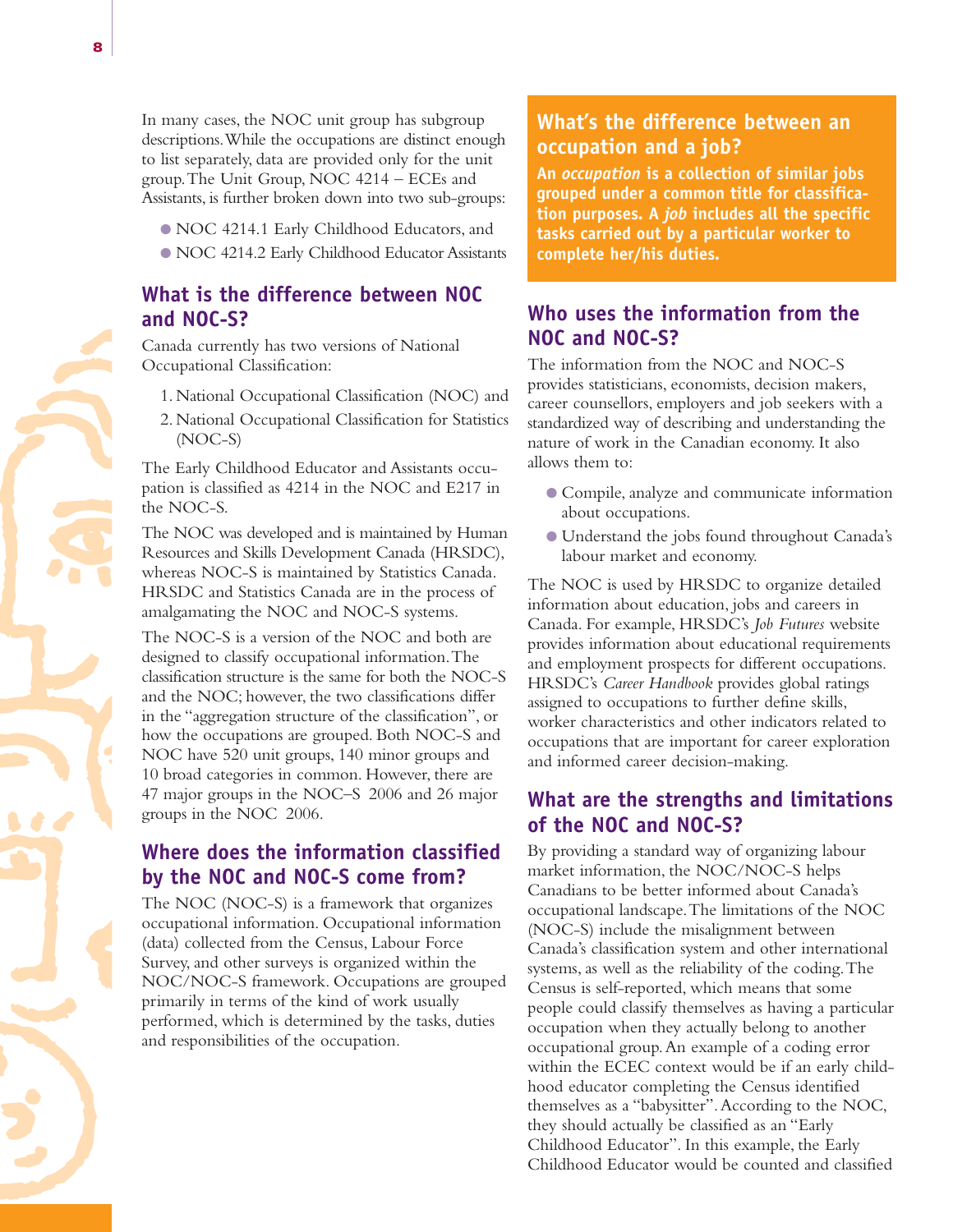- O NOC 4214.1 Early Childhood Educators, and
- O NOC 4214.2 Early Childhood Educator Assistants

### **What is the difference between NOC and NOC-S?**

Canada currently has two versions of National Occupational Classification:

- 1. National Occupational Classification (NOC) and
- 2. National Occupational Classification for Statistics (NOC-S)

The Early Childhood Educator and Assistants occupation is classified as 4214 in the NOC and E217 in the NOC-S.

The NOC was developed and is maintained by Human Resources and Skills Development Canada (HRSDC), whereas NOC-S is maintained by Statistics Canada. HRSDC and Statistics Canada are in the process of amalgamating the NOC and NOC-S systems.

The NOC-S is a version of the NOC and both are designed to classify occupational information.The classification structure is the same for both the NOC-S and the NOC; however, the two classifications differ in the "aggregation structure of the classification", or how the occupations are grouped. Both NOC-S and NOC have 520 unit groups, 140 minor groups and 10 broad categories in common. However, there are 47 major groups in the NOC–S 2006 and 26 major groups in the NOC 2006.

## **Where does the information classified by the NOC and NOC-S come from?**

The NOC (NOC-S) is a framework that organizes occupational information. Occupational information (data) collected from the Census, Labour Force Survey, and other surveys is organized within the NOC/NOC-S framework. Occupations are grouped primarily in terms of the kind of work usually performed, which is determined by the tasks, duties and responsibilities of the occupation.

### **What's the difference between an occupation and a job?**

**An** *occupation* **is a collection of similar jobs grouped under a common title for classification purposes. A** *job* **includes all the specific tasks carried out by a particular worker to complete her/his duties.**

## **Who uses the information from the NOC and NOC-S?**

The information from the NOC and NOC-S provides statisticians, economists, decision makers, career counsellors, employers and job seekers with a standardized way of describing and understanding the nature of work in the Canadian economy. It also allows them to:

- O Compile, analyze and communicate information about occupations.
- O Understand the jobs found throughout Canada's labour market and economy.

The NOC is used by HRSDC to organize detailed information about education, jobs and careers in Canada. For example, HRSDC's *Job Futures* website provides information about educational requirements and employment prospects for different occupations. HRSDC's *Career Handbook* provides global ratings assigned to occupations to further define skills, worker characteristics and other indicators related to occupations that are important for career exploration and informed career decision-making.

#### **What are the strengths and limitations of the NOC and NOC-S?**

By providing a standard way of organizing labour market information, the NOC/NOC-S helps Canadians to be better informed about Canada's occupational landscape.The limitations of the NOC (NOC-S) include the misalignment between Canada's classification system and other international systems, as well as the reliability of the coding.The Census is self-reported, which means that some people could classify themselves as having a particular occupation when they actually belong to another occupational group.An example of a coding error within the ECEC context would be if an early childhood educator completing the Census identified themselves as a "babysitter".According to the NOC, they should actually be classified as an "Early Childhood Educator". In this example, the Early Childhood Educator would be counted and classified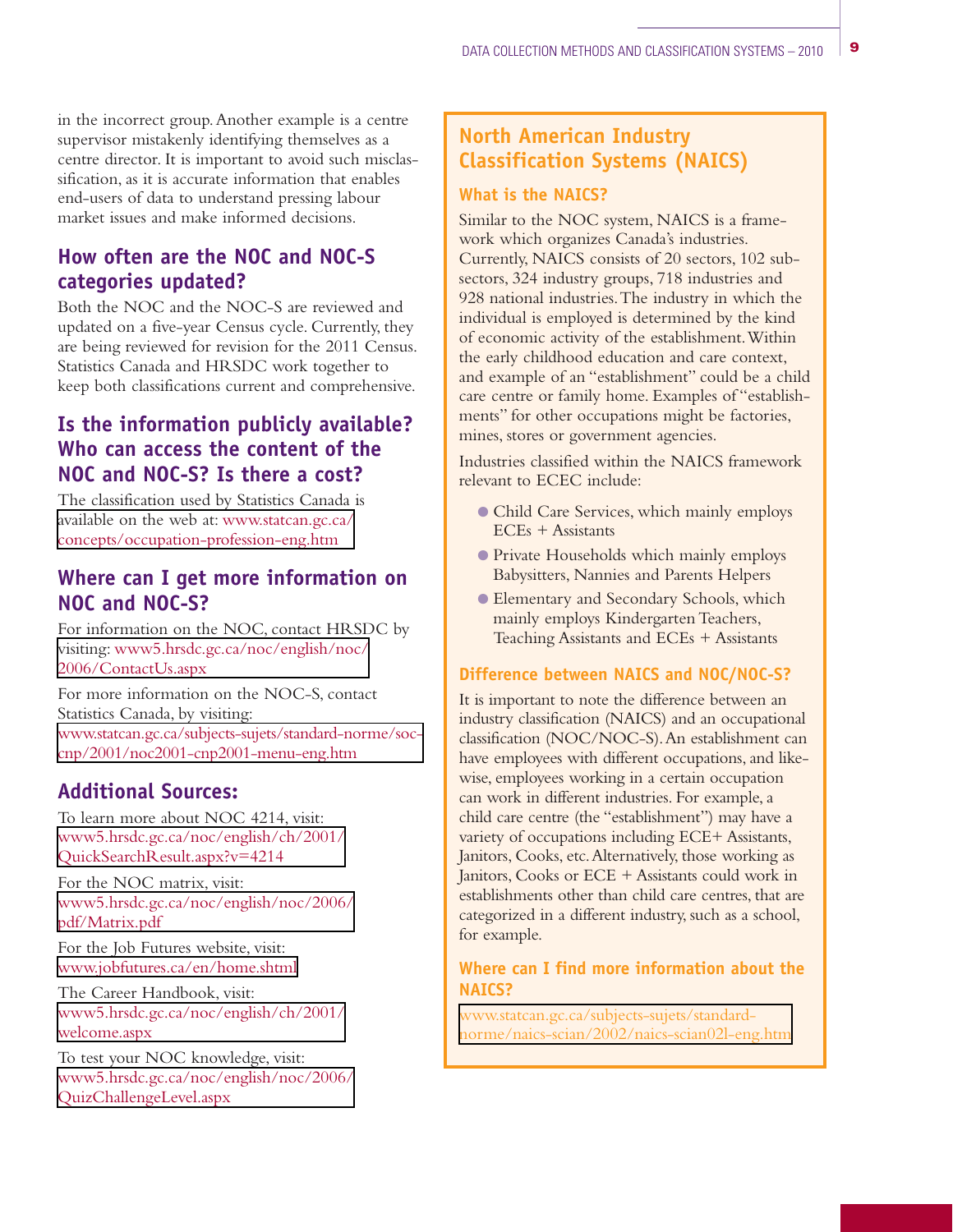in the incorrect group.Another example is a centre supervisor mistakenly identifying themselves as a centre director. It is important to avoid such misclassification, as it is accurate information that enables end-users of data to understand pressing labour market issues and make informed decisions.

# **How often are the NOC and NOC-S categories updated?**

Both the NOC and the NOC-S are reviewed and updated on a five-year Census cycle. Currently, they are being reviewed for revision for the 2011 Census. Statistics Canada and HRSDC work together to keep both classifications current and comprehensive.

# **Is the information publicly available? Who can access the content of the NOC and NOC-S? Is there a cost?**

The classification used by Statistics Canada is available on the web at: www.statcan.gc.ca/ [concepts/occupation-profession-eng.htm](http://www.statcan.gc.ca/concepts/occupation-profession-eng.htm)

### **Where can I get more information on NOC and NOC-S?**

For information on the NOC, contact HRSDC by visiting: [www5.hrsdc.gc.ca/noc/english/noc/](http://www5.hrsdc.gc.ca/noc/english/noc/2006/ContactUs.aspx) 2006/ContactUs.aspx

For more information on the NOC-S, contact Statistics Canada, by visiting: [www.statcan.gc.ca/subjects-sujets/standard-norme/soc](http://www.statcan.gc.ca/subjects-sujets/standard-norme/soc-cnp/2001/noc2001-cnp2001-menu-eng.htm)cnp/2001/noc2001-cnp2001-menu-eng.htm

# **Additional Sources:**

To learn more about NOC 4214, visit: [www5.hrsdc.gc.ca/noc/english/ch/2001/](http://www5.hrsdc.gc.ca/NOC/English/CH/2001/QuickSearchResult.aspx?v=4214) QuickSearchResult.aspx?v=4214

For the NOC matrix, visit: [www5.hrsdc.gc.ca/noc/english/noc/2006/](http://www5.hrsdc.gc.ca/NOC/English/NOC/2006/pdf/Matrix.pdf) pdf/Matrix.pdf

For the Job Futures website, visit: [www.jobfutures.ca/en/home.shtml](http://www.jobfutures.ca/en/home.shtml)

The Career Handbook, visit: [www5.hrsdc.gc.ca/noc/english/ch/2001/](http://www5.hrsdc.gc.ca/NOC/English/CH/2001/Welcome.aspx) welcome.aspx

To test your NOC knowledge, visit: [www5.hrsdc.gc.ca/noc/english/noc/2006/](http://www5.hrsdc.gc.ca/NOC/English/NOC/2006/QuizChallengeLevel.aspx) QuizChallengeLevel.aspx

# **North American Industry Classification Systems (NAICS)**

#### **What is the NAICS?**

Similar to the NOC system, NAICS is a framework which organizes Canada's industries. Currently, NAICS consists of 20 sectors, 102 subsectors, 324 industry groups, 718 industries and 928 national industries.The industry in which the individual is employed is determined by the kind of economic activity of the establishment.Within the early childhood education and care context, and example of an "establishment" could be a child care centre or family home. Examples of "establishments" for other occupations might be factories, mines, stores or government agencies.

Industries classified within the NAICS framework relevant to ECEC include:

- O Child Care Services, which mainly employs ECEs + Assistants
- O Private Households which mainly employs Babysitters, Nannies and Parents Helpers
- O Elementary and Secondary Schools, which mainly employs Kindergarten Teachers, Teaching Assistants and ECEs + Assistants

#### **Difference between NAICS and NOC/NOC-S?**

It is important to note the difference between an industry classification (NAICS) and an occupational classification (NOC/NOC-S).An establishment can have employees with different occupations, and likewise, employees working in a certain occupation can work in different industries. For example, a child care centre (the "establishment") may have a variety of occupations including ECE+ Assistants, Janitors, Cooks, etc.Alternatively, those working as Janitors, Cooks or ECE + Assistants could work in establishments other than child care centres, that are categorized in a different industry, such as a school, for example.

#### **Where can I find more information about the NAICS?**

www.statcan.gc.ca/subjects-sujets/standard[norme/naics-scian/2002/naics-scian02l-eng.htm](http://www.statcan.gc.ca/subjects-sujets/standard-norme/naics-scian/2002/naics-scian02l-eng.htm)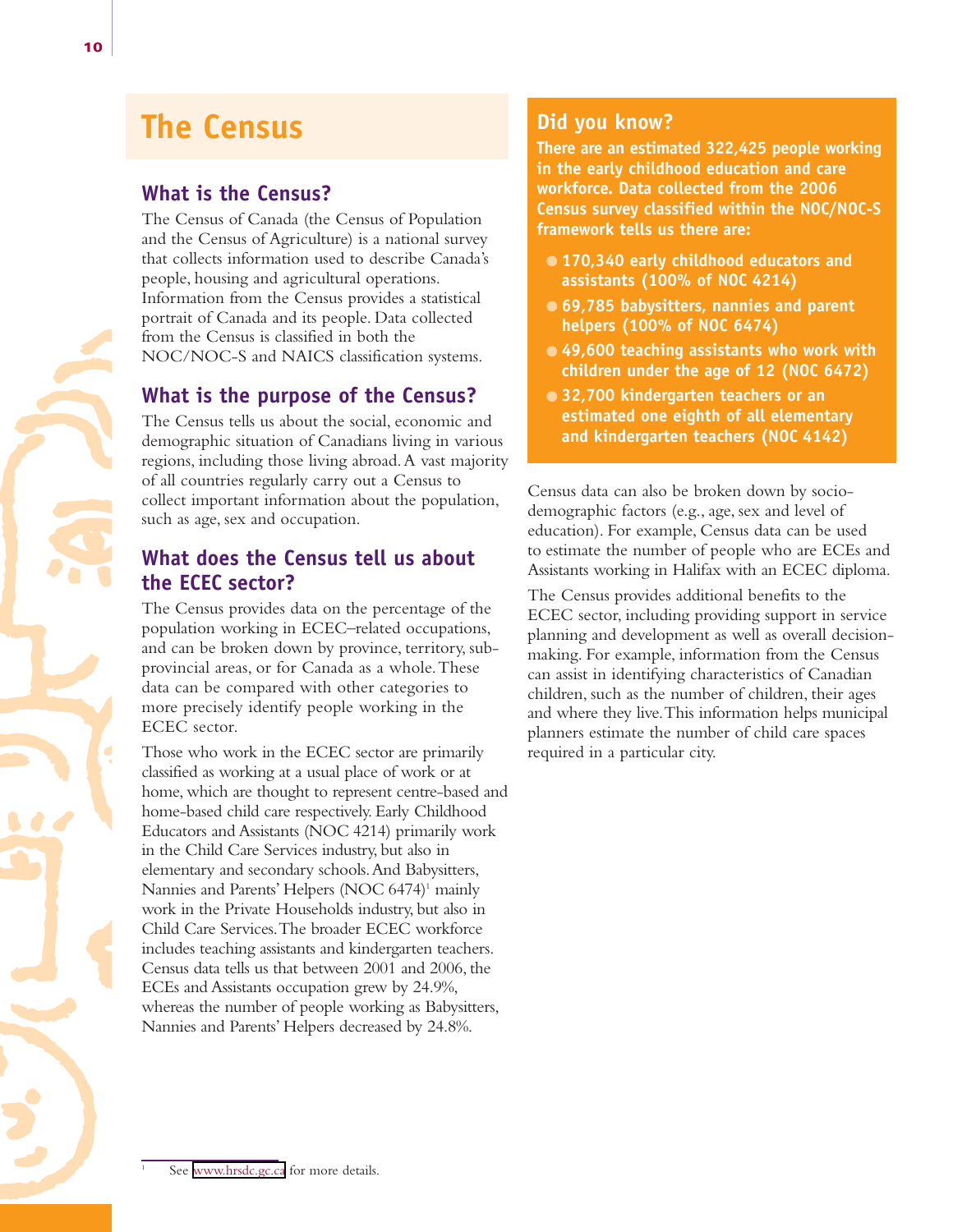# **The Census**

# **What is the Census?**

The Census of Canada (the Census of Population and the Census of Agriculture) is a national survey that collects information used to describe Canada's people, housing and agricultural operations. Information from the Census provides a statistical portrait of Canada and its people. Data collected from the Census is classified in both the NOC/NOC-S and NAICS classification systems.

# **What is the purpose of the Census?**

The Census tells us about the social, economic and demographic situation of Canadians living in various regions, including those living abroad.A vast majority of all countries regularly carry out a Census to collect important information about the population, such as age, sex and occupation.

# **What does the Census tell us about the ECEC sector?**

The Census provides data on the percentage of the population working in ECEC–related occupations, and can be broken down by province, territory, subprovincial areas, or for Canada as a whole.These data can be compared with other categories to more precisely identify people working in the ECEC sector.

Those who work in the ECEC sector are primarily classified as working at a usual place of work or at home, which are thought to represent centre-based and home-based child care respectively. Early Childhood Educators and Assistants (NOC 4214) primarily work in the Child Care Services industry, but also in elementary and secondary schools.And Babysitters, Nannies and Parents' Helpers (NOC 6474)<sup>1</sup> mainly work in the Private Households industry, but also in Child Care Services.The broader ECEC workforce includes teaching assistants and kindergarten teachers. Census data tells us that between 2001 and 2006, the ECEs and Assistants occupation grew by 24.9%, whereas the number of people working as Babysitters, Nannies and Parents' Helpers decreased by 24.8%.

# **Did you know?**

**There are an estimated 322,425 people working in the early childhood education and care workforce. Data collected from the 2006 Census survey classified within the NOC/NOC-S framework tells us there are:** 

- O **170,340 early childhood educators and assistants (100% of NOC 4214)**
- O **69,785 babysitters, nannies and parent helpers (100% of NOC 6474)**
- O **49,600 teaching assistants who work with children under the age of 12 (NOC 6472)**
- O **32,700 kindergarten teachers or an estimated one eighth of all elementary and kindergarten teachers (NOC 4142)**

Census data can also be broken down by sociodemographic factors (e.g., age, sex and level of education). For example, Census data can be used to estimate the number of people who are ECEs and Assistants working in Halifax with an ECEC diploma.

The Census provides additional benefits to the ECEC sector, including providing support in service planning and development as well as overall decisionmaking. For example, information from the Census can assist in identifying characteristics of Canadian children, such as the number of children, their ages and where they live.This information helps municipal planners estimate the number of child care spaces required in a particular city.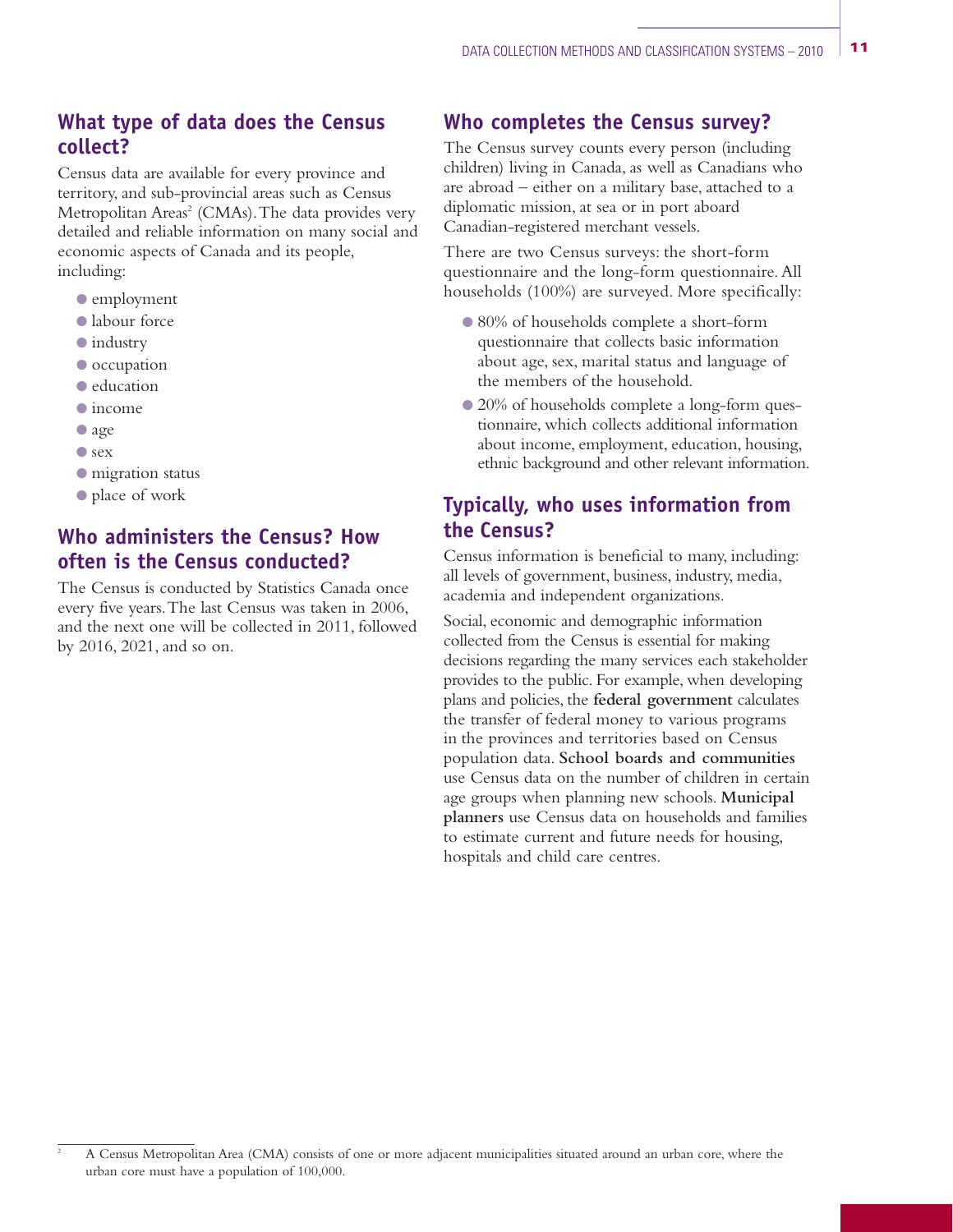## **What type of data does the Census collect?**

Census data are available for every province and territory, and sub-provincial areas such as Census Metropolitan Areas<sup>2</sup> (CMAs). The data provides very detailed and reliable information on many social and economic aspects of Canada and its people, including:

- O employment
- O labour force
- $\bullet$  industry
- $\bullet$  occupation
- O education
- $\bullet$  income
- O age
- O sex
- $\bullet$  migration status
- O place of work

# **Who administers the Census? How often is the Census conducted?**

The Census is conducted by Statistics Canada once every five years.The last Census was taken in 2006, and the next one will be collected in 2011, followed by 2016, 2021, and so on.

# **Who completes the Census survey?**

The Census survey counts every person (including children) living in Canada, as well as Canadians who are abroad – either on a military base, attached to a diplomatic mission, at sea or in port aboard Canadian-registered merchant vessels.

There are two Census surveys: the short-form questionnaire and the long-form questionnaire. All households (100%) are surveyed. More specifically:

- O 80% of households complete a short-form questionnaire that collects basic information about age, sex, marital status and language of the members of the household.
- 20% of households complete a long-form questionnaire, which collects additional information about income, employment, education, housing, ethnic background and other relevant information.

# **Typically, who uses information from the Census?**

Census information is beneficial to many, including: all levels of government, business, industry, media, academia and independent organizations.

Social, economic and demographic information collected from the Census is essential for making decisions regarding the many services each stakeholder provides to the public. For example, when developing plans and policies, the **federal government** calculates the transfer of federal money to various programs in the provinces and territories based on Census population data. **School boards and communities** use Census data on the number of children in certain age groups when planning new schools. **Municipal planners** use Census data on households and families to estimate current and future needs for housing, hospitals and child care centres.

<sup>&</sup>lt;sup>2</sup> A Census Metropolitan Area (CMA) consists of one or more adjacent municipalities situated around an urban core, where the urban core must have a population of 100,000.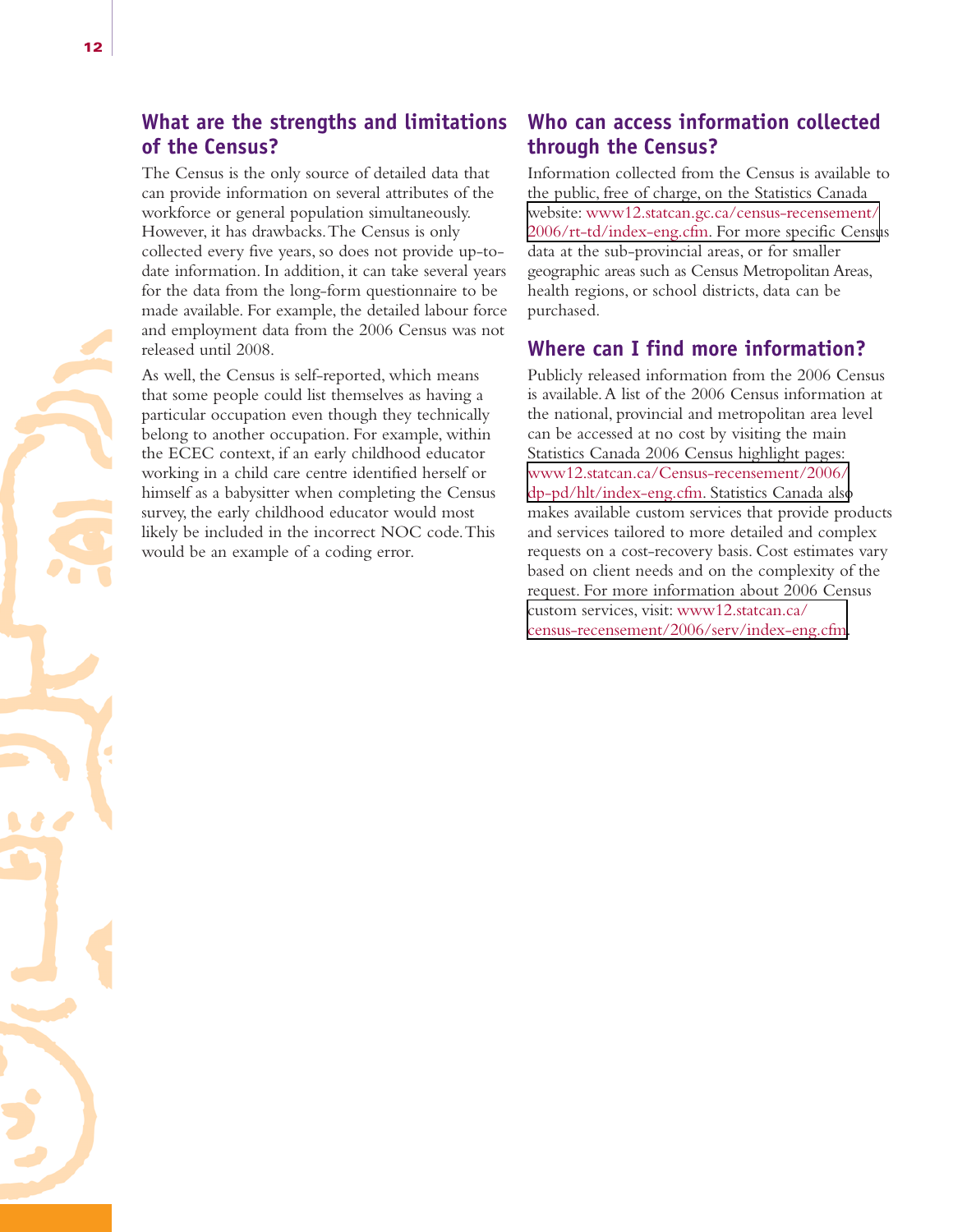## **What are the strengths and limitations of the Census?**

The Census is the only source of detailed data that can provide information on several attributes of the workforce or general population simultaneously. However, it has drawbacks.The Census is only collected every five years, so does not provide up-todate information. In addition, it can take several years for the data from the long-form questionnaire to be made available. For example, the detailed labour force and employment data from the 2006 Census was not released until 2008.

As well, the Census is self-reported, which means that some people could list themselves as having a particular occupation even though they technically belong to another occupation. For example, within the ECEC context, if an early childhood educator working in a child care centre identified herself or himself as a babysitter when completing the Census survey, the early childhood educator would most likely be included in the incorrect NOC code.This would be an example of a coding error.

#### **Who can access information collected through the Census?**

Information collected from the Census is available to the public, free of charge, on the Statistics Canada website: www12.statcan.gc.ca/census-recensement/ [2006/rt-td/index-eng.cfm. For more specific Censu](http://www12.statcan.gc.ca/census-recensement/2006/rt-td/index-eng.cfm)s data at the sub-provincial areas, or for smaller geographic areas such as Census Metropolitan Areas, health regions, or school districts, data can be purchased.

### **Where can I find more information?**

Publicly released information from the 2006 Census is available.A list of the 2006 Census information at the national, provincial and metropolitan area level can be accessed at no cost by visiting the main Statistics Canada 2006 Census highlight pages: [www12.statcan.ca/Census-recensement/2006/](http://www12.statcan.ca/Census-recensement/2006/dp-pd/hlt/index-eng.cfm) dp-pd/hlt/index-eng.cfm. Statistics Canada also makes available custom services that provide products and services tailored to more detailed and complex requests on a cost-recovery basis. Cost estimates vary based on client needs and on the complexity of the request. For more information about 2006 Census custom services, visit: www12.statcan.ca/ [census-recensement/2006/serv/index-eng.cfm](http://www12.statcan.ca/census-recensement/2006/serv/index-eng.cfm).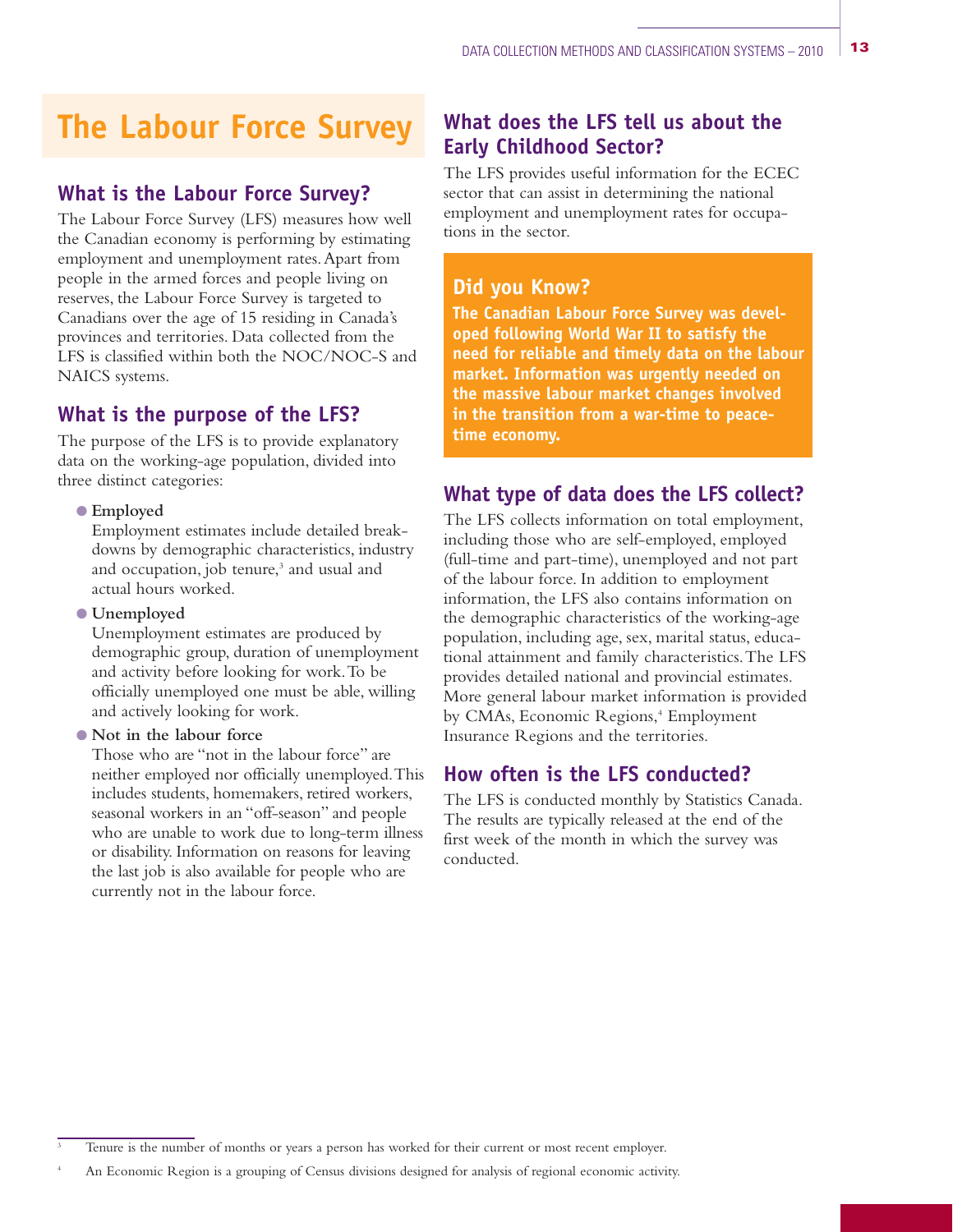# **The Labour Force Survey**

## **What is the Labour Force Survey?**

The Labour Force Survey (LFS) measures how well the Canadian economy is performing by estimating employment and unemployment rates.Apart from people in the armed forces and people living on reserves, the Labour Force Survey is targeted to Canadians over the age of 15 residing in Canada's provinces and territories. Data collected from the LFS is classified within both the NOC/NOC-S and NAICS systems.

### **What is the purpose of the LFS?**

The purpose of the LFS is to provide explanatory data on the working-age population, divided into three distinct categories:

#### O **Employed**

Employment estimates include detailed breakdowns by demographic characteristics, industry and occupation, job tenure,<sup>3</sup> and usual and actual hours worked.

#### O **Unemployed**

Unemployment estimates are produced by demographic group, duration of unemployment and activity before looking for work.To be officially unemployed one must be able, willing and actively looking for work.

#### O **Not in the labour force**

Those who are "not in the labour force" are neither employed nor officially unemployed.This includes students, homemakers, retired workers, seasonal workers in an "off-season" and people who are unable to work due to long-term illness or disability. Information on reasons for leaving the last job is also available for people who are currently not in the labour force.

# **What does the LFS tell us about the Early Childhood Sector?**

The LFS provides useful information for the ECEC sector that can assist in determining the national employment and unemployment rates for occupations in the sector.

#### **Did you Know?**

**The Canadian Labour Force Survey was developed following World War II to satisfy the need for reliable and timely data on the labour market. Information was urgently needed on the massive labour market changes involved in the transition from a war-time to peacetime economy.**

# **What type of data does the LFS collect?**

The LFS collects information on total employment, including those who are self-employed, employed (full-time and part-time), unemployed and not part of the labour force. In addition to employment information, the LFS also contains information on the demographic characteristics of the working-age population, including age, sex, marital status, educational attainment and family characteristics.The LFS provides detailed national and provincial estimates. More general labour market information is provided by CMAs, Economic Regions,<sup>4</sup> Employment Insurance Regions and the territories.

### **How often is the LFS conducted?**

The LFS is conducted monthly by Statistics Canada. The results are typically released at the end of the first week of the month in which the survey was conducted.

Tenure is the number of months or years a person has worked for their current or most recent employer.

An Economic Region is a grouping of Census divisions designed for analysis of regional economic activity.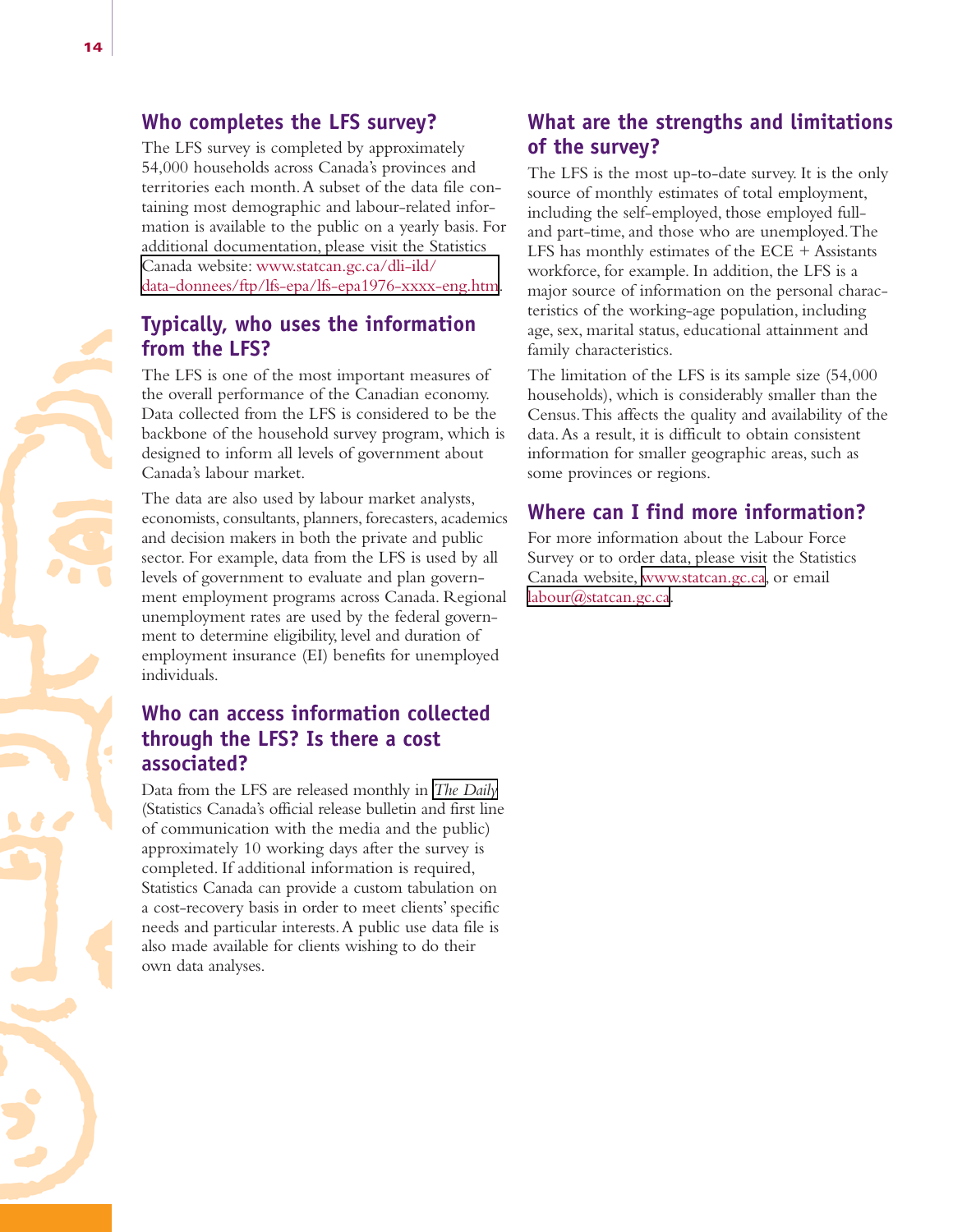#### **Who completes the LFS survey?**

The LFS survey is completed by approximately 54,000 households across Canada's provinces and territories each month.A subset of the data file containing most demographic and labour-related information is available to the public on a yearly basis. For additional documentation, please visit the Statistics Canada website: www.statcan.gc.ca/dli-ild/ [data-donnees/ftp/lfs-epa/lfs-epa1976-xxxx-eng.htm.](http://www.statcan.gc.ca/dli-ild/data-donnees/ftp/lfs-epa/lfs-epa1976-xxxx-eng.htm)

## **Typically, who uses the information from the LFS?**

The LFS is one of the most important measures of the overall performance of the Canadian economy. Data collected from the LFS is considered to be the backbone of the household survey program, which is designed to inform all levels of government about Canada's labour market.

The data are also used by labour market analysts, economists, consultants, planners, forecasters, academics and decision makers in both the private and public sector. For example, data from the LFS is used by all levels of government to evaluate and plan government employment programs across Canada. Regional unemployment rates are used by the federal government to determine eligibility, level and duration of employment insurance (EI) benefits for unemployed individuals.

# **Who can access information collected through the LFS? Is there a cost associated?**

Data from the LFS are released monthly in *[The Daily](http://www.statcan.gc.ca/dai-quo/index-eng.htm)* (Statistics Canada's official release bulletin and first line of communication with the media and the public) approximately 10 working days after the survey is completed. If additional information is required, Statistics Canada can provide a custom tabulation on a cost-recovery basis in order to meet clients' specific needs and particular interests.A public use data file is also made available for clients wishing to do their own data analyses.

# **What are the strengths and limitations of the survey?**

The LFS is the most up-to-date survey. It is the only source of monthly estimates of total employment, including the self-employed, those employed fulland part-time, and those who are unemployed.The LFS has monthly estimates of the  $ECE +$  Assistants workforce, for example. In addition, the LFS is a major source of information on the personal characteristics of the working-age population, including age, sex, marital status, educational attainment and family characteristics.

The limitation of the LFS is its sample size (54,000 households), which is considerably smaller than the Census.This affects the quality and availability of the data.As a result, it is difficult to obtain consistent information for smaller geographic areas, such as some provinces or regions.

#### **Where can I find more information?**

For more information about the Labour Force Survey or to order data, please visit the Statistics Canada website, [www.statcan.gc.ca,](http://www.statcan.gc.ca/start-debut-eng.html) or email [labour@statcan.gc.ca](mailto:labour@statcan.gc.ca).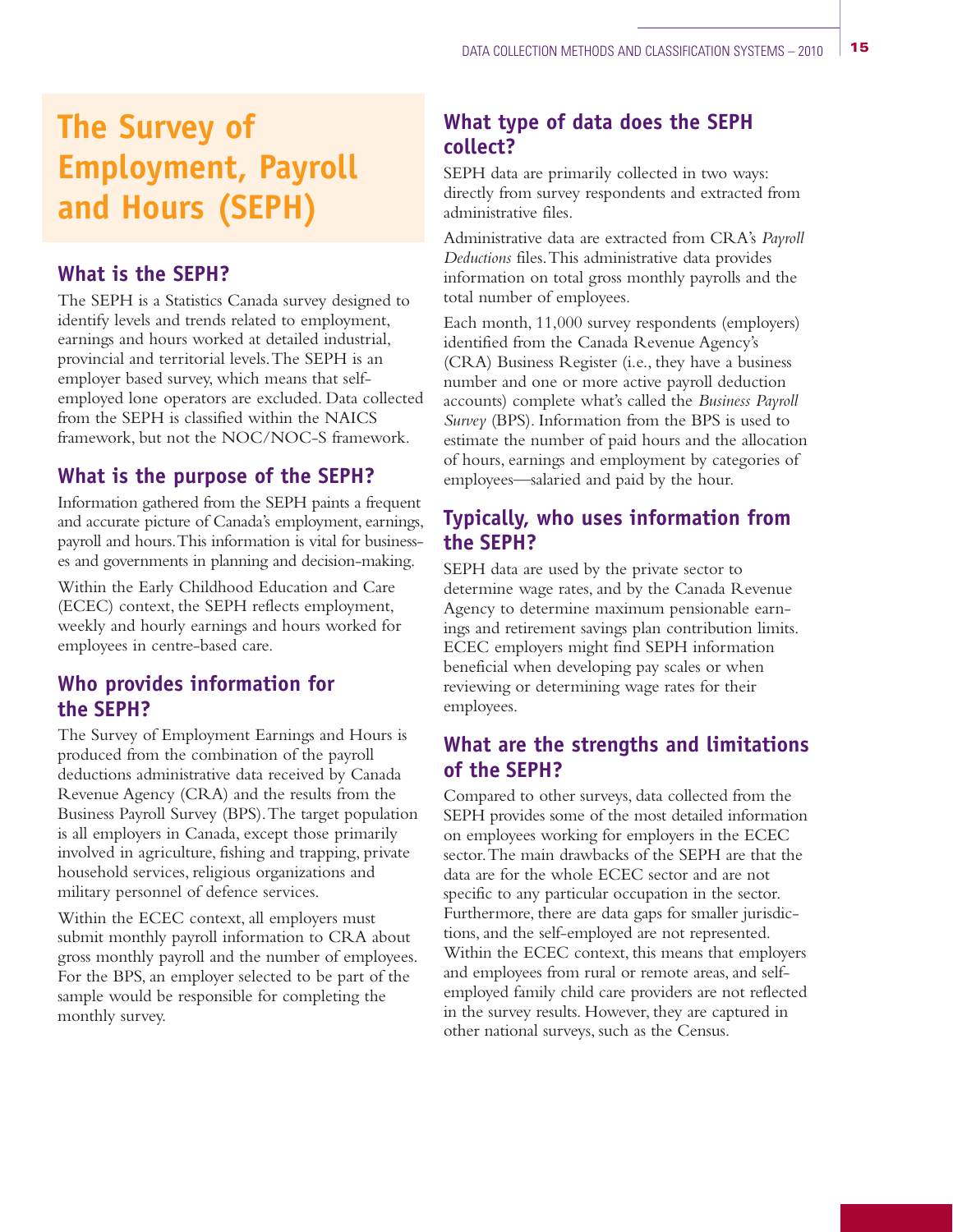# **The Survey of Employment, Payroll and Hours (SEPH)**

#### **What is the SEPH?**

The SEPH is a Statistics Canada survey designed to identify levels and trends related to employment, earnings and hours worked at detailed industrial, provincial and territorial levels.The SEPH is an employer based survey, which means that selfemployed lone operators are excluded. Data collected from the SEPH is classified within the NAICS framework, but not the NOC/NOC-S framework.

#### **What is the purpose of the SEPH?**

Information gathered from the SEPH paints a frequent and accurate picture of Canada's employment, earnings, payroll and hours.This information is vital for businesses and governments in planning and decision-making.

Within the Early Childhood Education and Care (ECEC) context, the SEPH reflects employment, weekly and hourly earnings and hours worked for employees in centre-based care.

#### **Who provides information for the SEPH?**

The Survey of Employment Earnings and Hours is produced from the combination of the payroll deductions administrative data received by Canada Revenue Agency (CRA) and the results from the Business Payroll Survey (BPS).The target population is all employers in Canada, except those primarily involved in agriculture, fishing and trapping, private household services, religious organizations and military personnel of defence services.

Within the ECEC context, all employers must submit monthly payroll information to CRA about gross monthly payroll and the number of employees. For the BPS, an employer selected to be part of the sample would be responsible for completing the monthly survey.

## **What type of data does the SEPH collect?**

SEPH data are primarily collected in two ways: directly from survey respondents and extracted from administrative files.

Administrative data are extracted from CRA's *Payroll Deductions* files.This administrative data provides information on total gross monthly payrolls and the total number of employees.

Each month, 11,000 survey respondents (employers) identified from the Canada Revenue Agency's (CRA) Business Register (i.e., they have a business number and one or more active payroll deduction accounts) complete what's called the *Business Payroll Survey* (BPS). Information from the BPS is used to estimate the number of paid hours and the allocation of hours, earnings and employment by categories of employees—salaried and paid by the hour.

## **Typically, who uses information from the SEPH?**

SEPH data are used by the private sector to determine wage rates, and by the Canada Revenue Agency to determine maximum pensionable earnings and retirement savings plan contribution limits. ECEC employers might find SEPH information beneficial when developing pay scales or when reviewing or determining wage rates for their employees.

#### **What are the strengths and limitations of the SEPH?**

Compared to other surveys, data collected from the SEPH provides some of the most detailed information on employees working for employers in the ECEC sector.The main drawbacks of the SEPH are that the data are for the whole ECEC sector and are not specific to any particular occupation in the sector. Furthermore, there are data gaps for smaller jurisdictions, and the self-employed are not represented. Within the ECEC context, this means that employers and employees from rural or remote areas, and selfemployed family child care providers are not reflected in the survey results. However, they are captured in other national surveys, such as the Census.